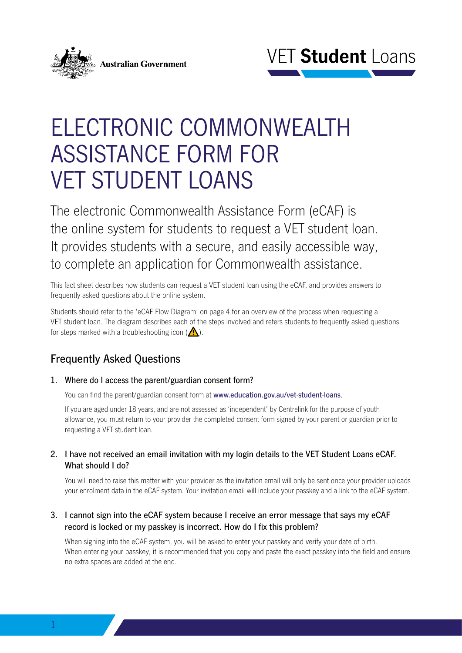



# ELECTRONIC COMMONWEALTH ASSISTANCE FORM FOR VET STUDENT LOANS

The electronic Commonwealth Assistance Form (eCAF) is the online system for students to request a VET student loan. It provides students with a secure, and easily accessible way, to complete an application for Commonwealth assistance.

This fact sheet describes how students can request a VET student loan using the eCAF, and provides answers to frequently asked questions about the online system.

Students should refer to the 'eCAF Flow Diagram' on page 4 for an overview of the process when requesting a VET student loan. The diagram describes each of the steps involved and refers students to frequently asked questions for steps marked with a troubleshooting icon  $(\bigwedge)$ .

# Frequently Asked Questions

1. Where do I access the parent/guardian consent form?

You can find the parent/guardian consent form at www.education.gov.au/vet-student-loans.

If you are aged under 18 years, and are not assessed as 'independent' by Centrelink for the purpose of youth allowance, you must return to your provider the completed consent form signed by your parent or guardian prior to requesting a VET student loan.

# 2. I have not received an email invitation with my login details to the VET Student Loans eCAF. What should I do?

You will need to raise this matter with your provider as the invitation email will only be sent once your provider uploads your enrolment data in the eCAF system. Your invitation email will include your passkey and a link to the eCAF system.

3. I cannot sign into the eCAF system because I receive an error message that says my eCAF record is locked or my passkey is incorrect. How do I fix this problem?

When signing into the eCAF system, you will be asked to enter your passkey and verify your date of birth. When entering your passkey, it is recommended that you copy and paste the exact passkey into the field and ensure no extra spaces are added at the end.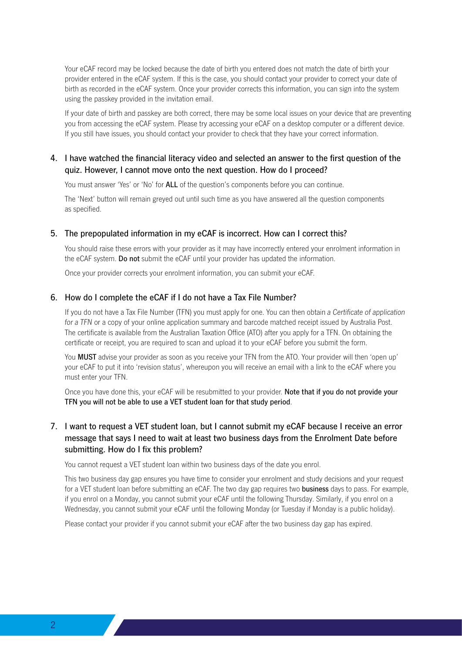Your eCAF record may be locked because the date of birth you entered does not match the date of birth your provider entered in the eCAF system. If this is the case, you should contact your provider to correct your date of birth as recorded in the eCAF system. Once your provider corrects this information, you can sign into the system using the passkey provided in the invitation email.

If your date of birth and passkey are both correct, there may be some local issues on your device that are preventing you from accessing the eCAF system. Please try accessing your eCAF on a desktop computer or a different device. If you still have issues, you should contact your provider to check that they have your correct information.

### 4. I have watched the financial literacy video and selected an answer to the first question of the quiz. However, I cannot move onto the next question. How do I proceed?

You must answer 'Yes' or 'No' for ALL of the question's components before you can continue.

The 'Next' button will remain greyed out until such time as you have answered all the question components as specified.

#### 5. The prepopulated information in my eCAF is incorrect. How can I correct this?

You should raise these errors with your provider as it may have incorrectly entered your enrolment information in the eCAF system. Do not submit the eCAF until your provider has updated the information.

Once your provider corrects your enrolment information, you can submit your eCAF.

#### 6. How do I complete the eCAF if I do not have a Tax File Number?

If you do not have a Tax File Number (TFN) you must apply for one. You can then obtain *a Certificate of application for a TFN* or a copy of your online application summary and barcode matched receipt issued by Australia Post. The certificate is available from the Australian Taxation Office (ATO) after you apply for a TFN. On obtaining the certificate or receipt, you are required to scan and upload it to your eCAF before you submit the form.

You MUST advise your provider as soon as you receive your TFN from the ATO. Your provider will then 'open up' your eCAF to put it into 'revision status', whereupon you will receive an email with a link to the eCAF where you must enter your TFN.

Once you have done this, your eCAF will be resubmitted to your provider. Note that if you do not provide your TFN you will not be able to use a VET student loan for that study period.

# 7. I want to request a VET student loan, but I cannot submit my eCAF because I receive an error message that says I need to wait at least two business days from the Enrolment Date before submitting. How do I fix this problem?

You cannot request a VET student loan within two business days of the date you enrol.

This two business day gap ensures you have time to consider your enrolment and study decisions and your request for a VET student loan before submitting an eCAF. The two day gap requires two **business** days to pass. For example, if you enrol on a Monday, you cannot submit your eCAF until the following Thursday. Similarly, if you enrol on a Wednesday, you cannot submit your eCAF until the following Monday (or Tuesday if Monday is a public holiday).

Please contact your provider if you cannot submit your eCAF after the two business day gap has expired.

<u>and the second property of the second property</u>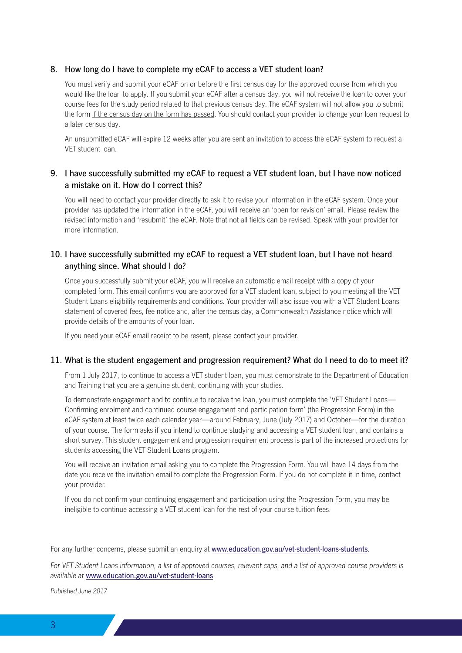#### 8. How long do I have to complete my eCAF to access a VET student loan?

You must verify and submit your eCAF on or before the first census day for the approved course from which you would like the loan to apply. If you submit your eCAF after a census day, you will not receive the loan to cover your course fees for the study period related to that previous census day. The eCAF system will not allow you to submit the form if the census day on the form has passed. You should contact your provider to change your loan request to a later census day.

An unsubmitted eCAF will expire 12 weeks after you are sent an invitation to access the eCAF system to request a VET student loan.

### 9. I have successfully submitted my eCAF to request a VET student loan, but I have now noticed a mistake on it. How do I correct this?

You will need to contact your provider directly to ask it to revise your information in the eCAF system. Once your provider has updated the information in the eCAF, you will receive an 'open for revision' email. Please review the revised information and 'resubmit' the eCAF. Note that not all fields can be revised. Speak with your provider for more information.

### 10. I have successfully submitted my eCAF to request a VET student loan, but I have not heard anything since. What should I do?

Once you successfully submit your eCAF, you will receive an automatic email receipt with a copy of your completed form. This email confirms you are approved for a VET student loan, subject to you meeting all the VET Student Loans eligibility requirements and conditions. Your provider will also issue you with a VET Student Loans statement of covered fees, fee notice and, after the census day, a Commonwealth Assistance notice which will provide details of the amounts of your loan.

If you need your eCAF email receipt to be resent, please contact your provider.

#### 11. What is the student engagement and progression requirement? What do I need to do to meet it?

From 1 July 2017, to continue to access a VET student loan, you must demonstrate to the Department of Education and Training that you are a genuine student, continuing with your studies.

To demonstrate engagement and to continue to receive the loan, you must complete the 'VET Student Loans— Confirming enrolment and continued course engagement and participation form' (the Progression Form) in the eCAF system at least twice each calendar year—around February, June (July 2017) and October—for the duration of your course. The form asks if you intend to continue studying and accessing a VET student loan, and contains a short survey. This student engagement and progression requirement process is part of the increased protections for students accessing the VET Student Loans program.

You will receive an invitation email asking you to complete the Progression Form. You will have 14 days from the date you receive the invitation email to complete the Progression Form. If you do not complete it in time, contact your provider.

If you do not confirm your continuing engagement and participation using the Progression Form, you may be ineligible to continue accessing a VET student loan for the rest of your course tuition fees.

For any further concerns, please submit an enquiry at www.education.gov.au/vet-student-loans-students.

*For VET Student Loans information, a list of approved courses, relevant caps, and a list of approved course providers is available at* www.education.gov.au/vet-student-loans.

*Published June 2017*